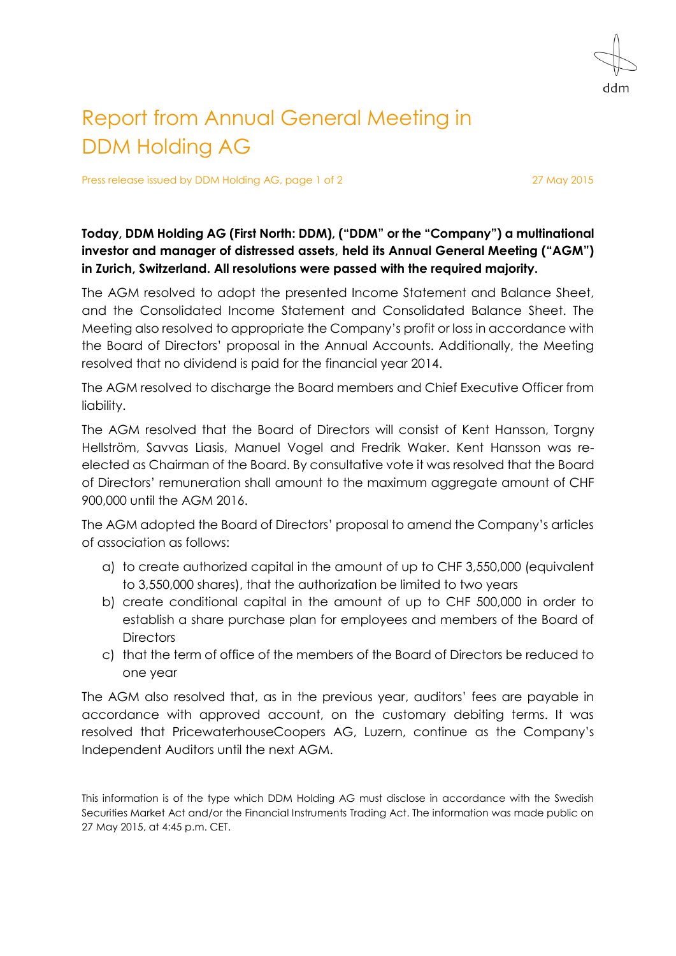ddm

## Report from Annual General Meeting in DDM Holding AG

Press release issued by DDM Holding AG, page 1 of 2 27 May 2015

## **Today, DDM Holding AG (First North: DDM), ("DDM" or the "Company") a multinational investor and manager of distressed assets, held its Annual General Meeting ("AGM") in Zurich, Switzerland. All resolutions were passed with the required majority.**

The AGM resolved to adopt the presented Income Statement and Balance Sheet, and the Consolidated Income Statement and Consolidated Balance Sheet. The Meeting also resolved to appropriate the Company's profit or loss in accordance with the Board of Directors' proposal in the Annual Accounts. Additionally, the Meeting resolved that no dividend is paid for the financial year 2014.

The AGM resolved to discharge the Board members and Chief Executive Officer from liability.

The AGM resolved that the Board of Directors will consist of Kent Hansson, Torgny Hellström, Savvas Liasis, Manuel Vogel and Fredrik Waker. Kent Hansson was reelected as Chairman of the Board. By consultative vote it was resolved that the Board of Directors' remuneration shall amount to the maximum aggregate amount of CHF 900,000 until the AGM 2016.

The AGM adopted the Board of Directors' proposal to amend the Company's articles of association as follows:

- a) to create authorized capital in the amount of up to CHF 3,550,000 (equivalent to 3,550,000 shares), that the authorization be limited to two years
- b) create conditional capital in the amount of up to CHF 500,000 in order to establish a share purchase plan for employees and members of the Board of **Directors**
- c) that the term of office of the members of the Board of Directors be reduced to one year

The AGM also resolved that, as in the previous year, auditors' fees are payable in accordance with approved account, on the customary debiting terms. It was resolved that PricewaterhouseCoopers AG, Luzern, continue as the Company's Independent Auditors until the next AGM.

This information is of the type which DDM Holding AG must disclose in accordance with the Swedish Securities Market Act and/or the Financial Instruments Trading Act. The information was made public on 27 May 2015, at 4:45 p.m. CET.